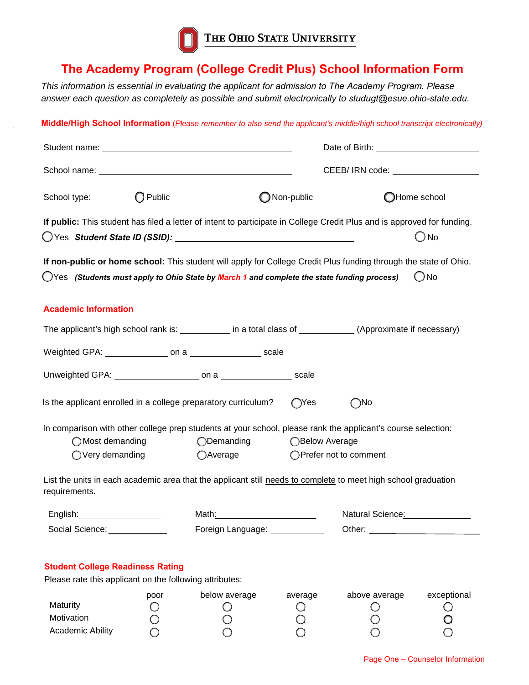

## **The Academy Program (College Credit Plus) School Information Form**

*This information is essential in evaluating the applicant for admission to The Academy Program. Please answer each question as completely as possible and submit electronically to studugt@esue.ohio-state.edu.*

**Middle/High School Information** (*Please remember to also send the applicant's middle/high school transcript electronically)* 

| Student name: <u>contained</u> and all the students are students and all the students are students and all the students |                   |                                                                                                                                                                                                                |                                       |                          |               |  |
|-------------------------------------------------------------------------------------------------------------------------|-------------------|----------------------------------------------------------------------------------------------------------------------------------------------------------------------------------------------------------------|---------------------------------------|--------------------------|---------------|--|
|                                                                                                                         |                   |                                                                                                                                                                                                                | CEEB/ IRN code: _____________________ |                          |               |  |
| School type:                                                                                                            | $\bigcirc$ Public |                                                                                                                                                                                                                | ONon-public                           |                          | OHome school  |  |
|                                                                                                                         |                   | If public: This student has filed a letter of intent to participate in College Credit Plus and is approved for funding.                                                                                        |                                       |                          | (_) No        |  |
|                                                                                                                         |                   | If non-public or home school: This student will apply for College Credit Plus funding through the state of Ohio.<br>◯Yes (Students must apply to Ohio State by March 1 and complete the state funding process) |                                       |                          | $\bigcirc$ No |  |
| <b>Academic Information</b>                                                                                             |                   |                                                                                                                                                                                                                |                                       |                          |               |  |
|                                                                                                                         |                   | The applicant's high school rank is: ____________ in a total class of ___________(Approximate if necessary)                                                                                                    |                                       |                          |               |  |
|                                                                                                                         |                   |                                                                                                                                                                                                                |                                       |                          |               |  |
|                                                                                                                         |                   |                                                                                                                                                                                                                |                                       |                          |               |  |
|                                                                                                                         |                   | Is the applicant enrolled in a college preparatory curriculum?                                                                                                                                                 | $\bigcirc$ Yes                        | $\bigcirc$ No            |               |  |
| $\bigcirc$ Most demanding<br>$\bigcirc$ Very demanding                                                                  |                   | In comparison with other college prep students at your school, please rank the applicant's course selection:<br>◯Demanding<br>○Average                                                                         | ◯Below Average                        | ○ Prefer not to comment  |               |  |
| requirements.                                                                                                           |                   | List the units in each academic area that the applicant still needs to complete to meet high school graduation                                                                                                 |                                       |                          |               |  |
| English: ____________________                                                                                           |                   | Math:                                                                                                                                                                                                          |                                       | Natural Science: Matural |               |  |
| Social Science:                                                                                                         |                   | Foreign Language: _________                                                                                                                                                                                    |                                       | Other: $\_\_$            |               |  |
| <b>Student College Readiness Rating</b><br>Please rate this applicant on the following attributes:                      |                   |                                                                                                                                                                                                                |                                       |                          |               |  |
| Maturity<br>Motivation<br><b>Academic Ability</b>                                                                       | poor              | below average                                                                                                                                                                                                  | average                               | above average            | exceptional   |  |